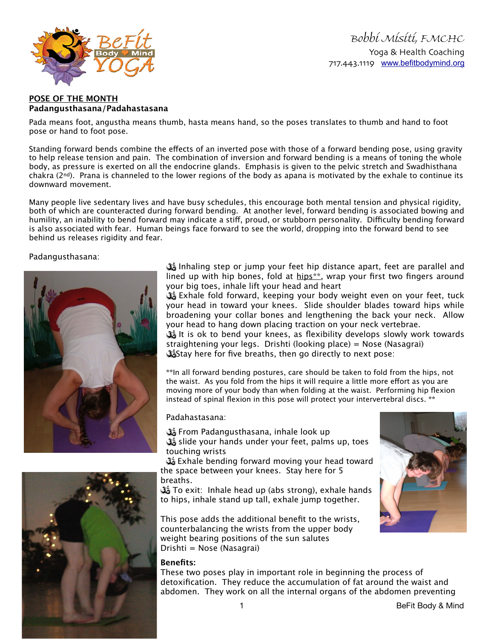

Bobbi Misiti, FMCHC Yoga & Health Coaching 717.443.1119 [www.befitbodymind.org](http://www.befitbodymind.org)

## **POSE OF THE MONTH Padangusthasana/Padahastasana**

Pada means foot, angustha means thumb, hasta means hand, so the poses translates to thumb and hand to foot pose or hand to foot pose.

Standing forward bends combine the efects of an inverted pose with those of a forward bending pose, using gravity to help release tension and pain. The combination of inversion and forward bending is a means of toning the whole body, as pressure is exerted on all the endocrine glands. Emphasis is given to the pelvic stretch and Swadhisthana chakra ( $2<sup>nd</sup>$ ). Prana is channeled to the lower regions of the body as apana is motivated by the exhale to continue its downward movement.

Many people live sedentary lives and have busy schedules, this encourage both mental tension and physical rigidity, both of which are counteracted during forward bending. At another level, forward bending is associated bowing and humility, an inability to bend forward may indicate a stiff, proud, or stubborn personality. Difficulty bending forward is also associated with fear. Human beings face forward to see the world, dropping into the forward bend to see behind us releases rigidity and fear.

## Padangusthasana:



 Inhaling step or jump your feet hip distance apart, feet are parallel and lined up with hip bones, fold at  $hips**$ , wrap your first two fingers around your big toes, inhale lift your head and heart

 Exhale fold forward, keeping your body weight even on your feet, tuck your head in toward your knees. Slide shoulder blades toward hips while broadening your collar bones and lengthening the back your neck. Allow your head to hang down placing traction on your neck vertebrae. It is ok to bend your knees, as flexibility develops slowly work towards straightening your legs. Drishti (looking place) = Nose (Nasagrai)

**Stay here for five breaths, then go directly to next pose:** 

**\*\***In all forward bending postures, care should be taken to fold from the hips, not the waist. As you fold from the hips it will require a little more efort as you are moving more of your body than when folding at the waist. Performing hip flexion instead of spinal flexion in this pose will protect your intervertebral discs. **\*\***

## Padahastasana:

 From Padangusthasana, inhale look up slide your hands under your feet, palms up, toes touching wrists

**B** Exhale bending forward moving your head toward the space between your knees. Stay here for 5 breaths.

**To exit: Inhale head up (abs strong), exhale hands** to hips, inhale stand up tall, exhale jump together.

This pose adds the additional benefit to the wrists, counterbalancing the wrists from the upper body weight bearing positions of the sun salutes Drishti = Nose (Nasagrai)

## **Benefits:**

These two poses play in important role in beginning the process of detoxification. They reduce the accumulation of fat around the waist and abdomen. They work on all the internal organs of the abdomen preventing